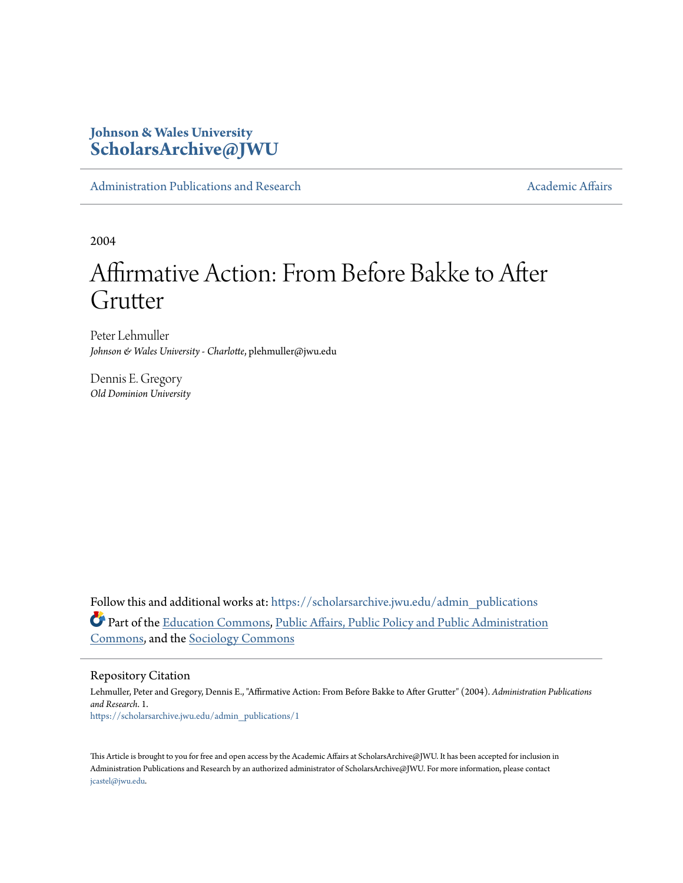#### **Johnson & Wales University [ScholarsArchive@JWU](https://scholarsarchive.jwu.edu?utm_source=scholarsarchive.jwu.edu%2Fadmin_publications%2F1&utm_medium=PDF&utm_campaign=PDFCoverPages)**

[Administration Publications and Research](https://scholarsarchive.jwu.edu/admin_publications?utm_source=scholarsarchive.jwu.edu%2Fadmin_publications%2F1&utm_medium=PDF&utm_campaign=PDFCoverPages) [Academic Affairs](https://scholarsarchive.jwu.edu/ac_affairs?utm_source=scholarsarchive.jwu.edu%2Fadmin_publications%2F1&utm_medium=PDF&utm_campaign=PDFCoverPages) Academic Affairs

2004

# Affirmative Action: From Before Bakke to After Grutter

Peter Lehmuller *Johnson & Wales University - Charlotte*, plehmuller@jwu.edu

Dennis E. Gregory *Old Dominion University*

Follow this and additional works at: [https://scholarsarchive.jwu.edu/admin\\_publications](https://scholarsarchive.jwu.edu/admin_publications?utm_source=scholarsarchive.jwu.edu%2Fadmin_publications%2F1&utm_medium=PDF&utm_campaign=PDFCoverPages) Part of the [Education Commons](http://network.bepress.com/hgg/discipline/784?utm_source=scholarsarchive.jwu.edu%2Fadmin_publications%2F1&utm_medium=PDF&utm_campaign=PDFCoverPages), [Public Affairs, Public Policy and Public Administration](http://network.bepress.com/hgg/discipline/393?utm_source=scholarsarchive.jwu.edu%2Fadmin_publications%2F1&utm_medium=PDF&utm_campaign=PDFCoverPages) [Commons,](http://network.bepress.com/hgg/discipline/393?utm_source=scholarsarchive.jwu.edu%2Fadmin_publications%2F1&utm_medium=PDF&utm_campaign=PDFCoverPages) and the [Sociology Commons](http://network.bepress.com/hgg/discipline/416?utm_source=scholarsarchive.jwu.edu%2Fadmin_publications%2F1&utm_medium=PDF&utm_campaign=PDFCoverPages)

Repository Citation

Lehmuller, Peter and Gregory, Dennis E., "Affirmative Action: From Before Bakke to After Grutter" (2004). *Administration Publications and Research*. 1. [https://scholarsarchive.jwu.edu/admin\\_publications/1](https://scholarsarchive.jwu.edu/admin_publications/1?utm_source=scholarsarchive.jwu.edu%2Fadmin_publications%2F1&utm_medium=PDF&utm_campaign=PDFCoverPages)

This Article is brought to you for free and open access by the Academic Affairs at ScholarsArchive@JWU. It has been accepted for inclusion in Administration Publications and Research by an authorized administrator of ScholarsArchive@JWU. For more information, please contact [jcastel@jwu.edu.](mailto:jcastel@jwu.edu)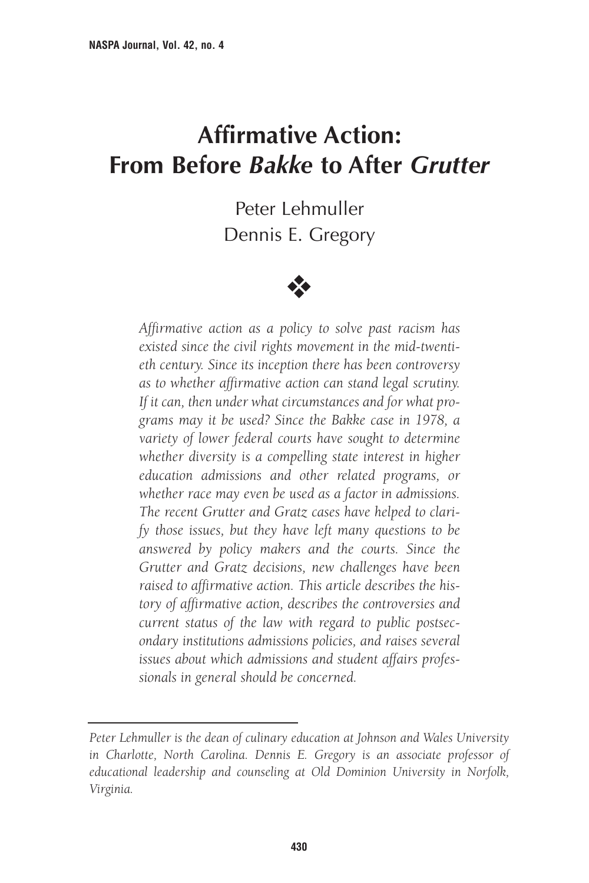## **Affirmative Action: From Before** *Bakke* **to After** *Grutter*

Peter Lehmuller Dennis E. Gregory



*Affirmative action as a policy to solve past racism has existed since the civil rights movement in the mid-twentieth century. Since its inception there has been controversy as to whether affirmative action can stand legal scrutiny. If it can, then under what circumstances and for what programs may it be used? Since the Bakke case in 1978, a variety of lower federal courts have sought to determine whether diversity is a compelling state interest in higher education admissions and other related programs, or whether race may even be used as a factor in admissions. The recent Grutter and Gratz cases have helped to clarify those issues, but they have left many questions to be answered by policy makers and the courts. Since the Grutter and Gratz decisions, new challenges have been raised to affirmative action. This article describes the history of affirmative action, describes the controversies and current status of the law with regard to public postsecondary institutions admissions policies, and raises several issues about which admissions and student affairs professionals in general should be concerned.*

*Peter Lehmuller is the dean of culinary education at Johnson and Wales University in Charlotte, North Carolina. Dennis E. Gregory is an associate professor of educational leadership and counseling at Old Dominion University in Norfolk, Virginia.*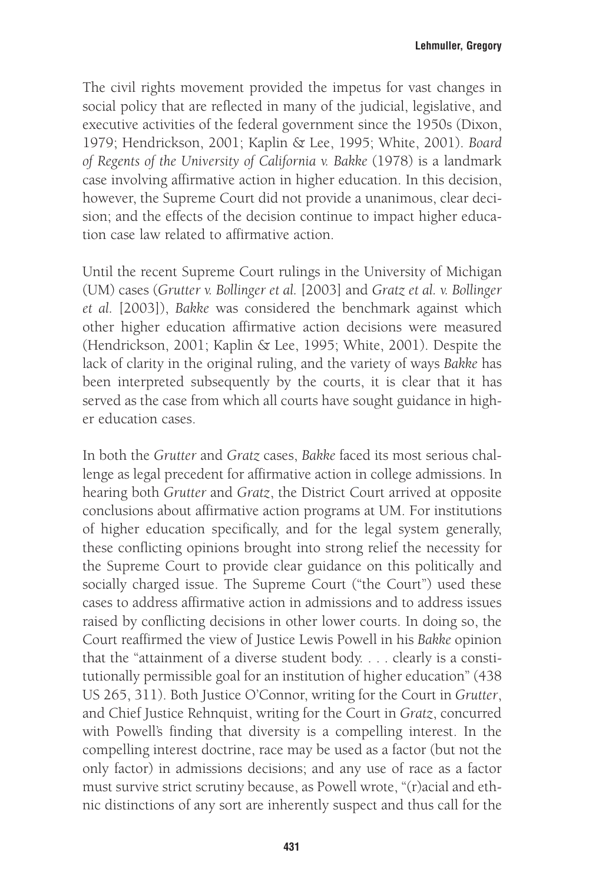The civil rights movement provided the impetus for vast changes in social policy that are reflected in many of the judicial, legislative, and executive activities of the federal government since the 1950s (Dixon, 1979; Hendrickson, 2001; Kaplin & Lee, 1995; White, 2001). *Board of Regents of the University of California v. Bakke* (1978) is a landmark case involving affirmative action in higher education. In this decision, however, the Supreme Court did not provide a unanimous, clear decision; and the effects of the decision continue to impact higher education case law related to affirmative action.

Until the recent Supreme Court rulings in the University of Michigan (UM) cases (*Grutter v. Bollinger et al.* [2003] and *Gratz et al. v. Bollinger et al.* [2003]), *Bakke* was considered the benchmark against which other higher education affirmative action decisions were measured (Hendrickson, 2001; Kaplin & Lee, 1995; White, 2001). Despite the lack of clarity in the original ruling, and the variety of ways *Bakke* has been interpreted subsequently by the courts, it is clear that it has served as the case from which all courts have sought guidance in higher education cases.

In both the *Grutter* and *Gratz* cases, *Bakke* faced its most serious challenge as legal precedent for affirmative action in college admissions. In hearing both *Grutter* and *Gratz*, the District Court arrived at opposite conclusions about affirmative action programs at UM. For institutions of higher education specifically, and for the legal system generally, these conflicting opinions brought into strong relief the necessity for the Supreme Court to provide clear guidance on this politically and socially charged issue. The Supreme Court ("the Court") used these cases to address affirmative action in admissions and to address issues raised by conflicting decisions in other lower courts. In doing so, the Court reaffirmed the view of Justice Lewis Powell in his *Bakke* opinion that the "attainment of a diverse student body. . . . clearly is a constitutionally permissible goal for an institution of higher education" (438 US 265, 311). Both Justice O'Connor, writing for the Court in *Grutter*, and Chief Justice Rehnquist, writing for the Court in *Gratz*, concurred with Powell's finding that diversity is a compelling interest. In the compelling interest doctrine, race may be used as a factor (but not the only factor) in admissions decisions; and any use of race as a factor must survive strict scrutiny because, as Powell wrote, "(r)acial and ethnic distinctions of any sort are inherently suspect and thus call for the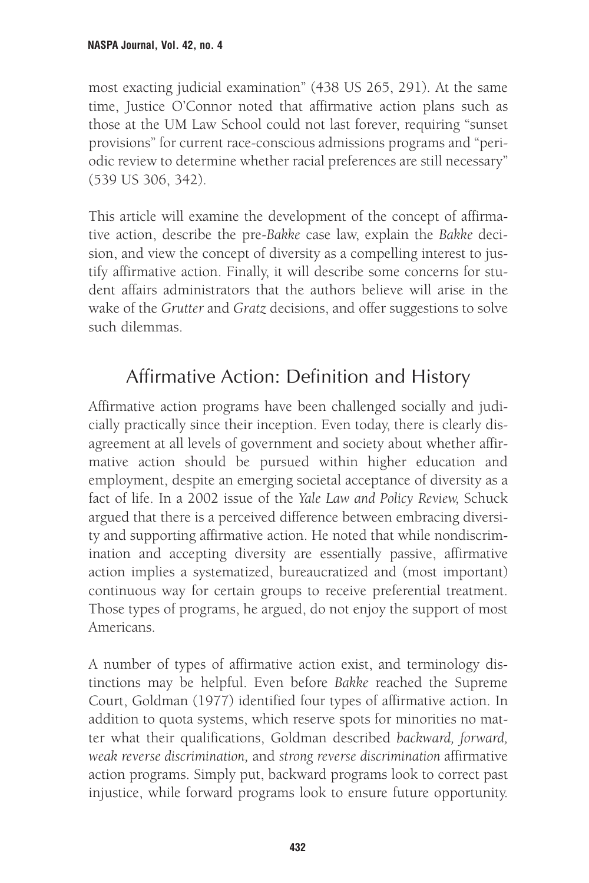most exacting judicial examination" (438 US 265, 291). At the same time, Justice O'Connor noted that affirmative action plans such as those at the UM Law School could not last forever, requiring "sunset provisions" for current race-conscious admissions programs and "periodic review to determine whether racial preferences are still necessary" (539 US 306, 342).

This article will examine the development of the concept of affirmative action, describe the pre-*Bakke* case law, explain the *Bakke* decision, and view the concept of diversity as a compelling interest to justify affirmative action. Finally, it will describe some concerns for student affairs administrators that the authors believe will arise in the wake of the *Grutter* and *Gratz* decisions, and offer suggestions to solve such dilemmas.

## Affirmative Action: Definition and History

Affirmative action programs have been challenged socially and judicially practically since their inception. Even today, there is clearly disagreement at all levels of government and society about whether affirmative action should be pursued within higher education and employment, despite an emerging societal acceptance of diversity as a fact of life. In a 2002 issue of the *Yale Law and Policy Review,* Schuck argued that there is a perceived difference between embracing diversity and supporting affirmative action. He noted that while nondiscrimination and accepting diversity are essentially passive, affirmative action implies a systematized, bureaucratized and (most important) continuous way for certain groups to receive preferential treatment. Those types of programs, he argued, do not enjoy the support of most Americans.

A number of types of affirmative action exist, and terminology distinctions may be helpful. Even before *Bakke* reached the Supreme Court, Goldman (1977) identified four types of affirmative action. In addition to quota systems, which reserve spots for minorities no matter what their qualifications, Goldman described *backward, forward, weak reverse discrimination,* and *strong reverse discrimination* affirmative action programs. Simply put, backward programs look to correct past injustice, while forward programs look to ensure future opportunity.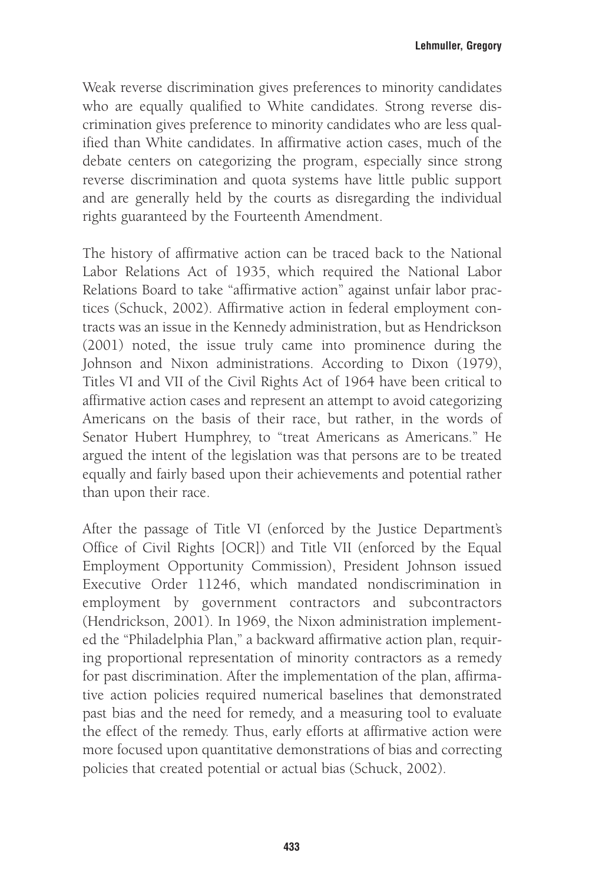Weak reverse discrimination gives preferences to minority candidates who are equally qualified to White candidates. Strong reverse discrimination gives preference to minority candidates who are less qualified than White candidates. In affirmative action cases, much of the debate centers on categorizing the program, especially since strong reverse discrimination and quota systems have little public support and are generally held by the courts as disregarding the individual rights guaranteed by the Fourteenth Amendment.

The history of affirmative action can be traced back to the National Labor Relations Act of 1935, which required the National Labor Relations Board to take "affirmative action" against unfair labor practices (Schuck, 2002). Affirmative action in federal employment contracts was an issue in the Kennedy administration, but as Hendrickson (2001) noted, the issue truly came into prominence during the Johnson and Nixon administrations. According to Dixon (1979), Titles VI and VII of the Civil Rights Act of 1964 have been critical to affirmative action cases and represent an attempt to avoid categorizing Americans on the basis of their race, but rather, in the words of Senator Hubert Humphrey, to "treat Americans as Americans." He argued the intent of the legislation was that persons are to be treated equally and fairly based upon their achievements and potential rather than upon their race.

After the passage of Title VI (enforced by the Justice Department's Office of Civil Rights [OCR]) and Title VII (enforced by the Equal Employment Opportunity Commission), President Johnson issued Executive Order 11246, which mandated nondiscrimination in employment by government contractors and subcontractors (Hendrickson, 2001). In 1969, the Nixon administration implemented the "Philadelphia Plan," a backward affirmative action plan, requiring proportional representation of minority contractors as a remedy for past discrimination. After the implementation of the plan, affirmative action policies required numerical baselines that demonstrated past bias and the need for remedy, and a measuring tool to evaluate the effect of the remedy. Thus, early efforts at affirmative action were more focused upon quantitative demonstrations of bias and correcting policies that created potential or actual bias (Schuck, 2002).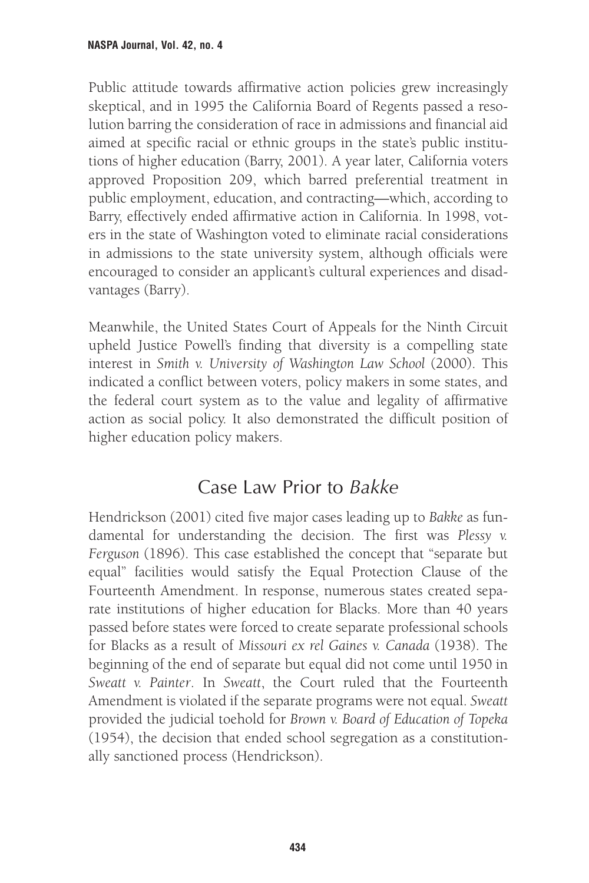Public attitude towards affirmative action policies grew increasingly skeptical, and in 1995 the California Board of Regents passed a resolution barring the consideration of race in admissions and financial aid aimed at specific racial or ethnic groups in the state's public institutions of higher education (Barry, 2001). A year later, California voters approved Proposition 209, which barred preferential treatment in public employment, education, and contracting—which, according to Barry, effectively ended affirmative action in California. In 1998, voters in the state of Washington voted to eliminate racial considerations in admissions to the state university system, although officials were encouraged to consider an applicant's cultural experiences and disadvantages (Barry).

Meanwhile, the United States Court of Appeals for the Ninth Circuit upheld Justice Powell's finding that diversity is a compelling state interest in *Smith v. University of Washington Law School* (2000). This indicated a conflict between voters, policy makers in some states, and the federal court system as to the value and legality of affirmative action as social policy. It also demonstrated the difficult position of higher education policy makers.

#### Case Law Prior to *Bakke*

Hendrickson (2001) cited five major cases leading up to *Bakke* as fundamental for understanding the decision. The first was *Plessy v. Ferguson* (1896). This case established the concept that "separate but equal" facilities would satisfy the Equal Protection Clause of the Fourteenth Amendment. In response, numerous states created separate institutions of higher education for Blacks. More than 40 years passed before states were forced to create separate professional schools for Blacks as a result of *Missouri ex rel Gaines v. Canada* (1938). The beginning of the end of separate but equal did not come until 1950 in *Sweatt v. Painter*. In *Sweatt*, the Court ruled that the Fourteenth Amendment is violated if the separate programs were not equal. *Sweatt* provided the judicial toehold for *Brown v. Board of Education of Topeka* (1954), the decision that ended school segregation as a constitutionally sanctioned process (Hendrickson).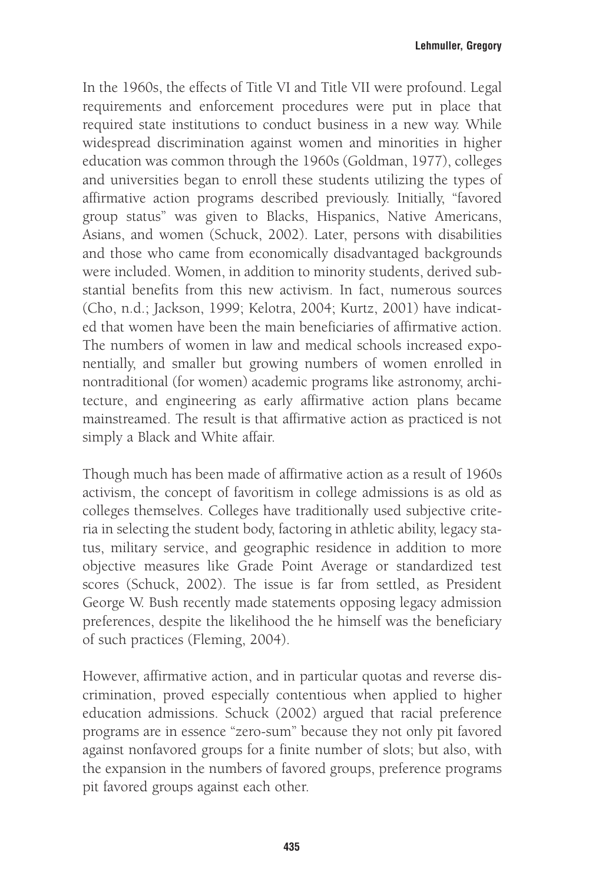In the 1960s, the effects of Title VI and Title VII were profound. Legal requirements and enforcement procedures were put in place that required state institutions to conduct business in a new way. While widespread discrimination against women and minorities in higher education was common through the 1960s (Goldman, 1977), colleges and universities began to enroll these students utilizing the types of affirmative action programs described previously. Initially, "favored group status" was given to Blacks, Hispanics, Native Americans, Asians, and women (Schuck, 2002). Later, persons with disabilities and those who came from economically disadvantaged backgrounds were included. Women, in addition to minority students, derived substantial benefits from this new activism. In fact, numerous sources (Cho, n.d.; Jackson, 1999; Kelotra, 2004; Kurtz, 2001) have indicated that women have been the main beneficiaries of affirmative action. The numbers of women in law and medical schools increased exponentially, and smaller but growing numbers of women enrolled in nontraditional (for women) academic programs like astronomy, architecture, and engineering as early affirmative action plans became mainstreamed. The result is that affirmative action as practiced is not simply a Black and White affair.

Though much has been made of affirmative action as a result of 1960s activism, the concept of favoritism in college admissions is as old as colleges themselves. Colleges have traditionally used subjective criteria in selecting the student body, factoring in athletic ability, legacy status, military service, and geographic residence in addition to more objective measures like Grade Point Average or standardized test scores (Schuck, 2002). The issue is far from settled, as President George W. Bush recently made statements opposing legacy admission preferences, despite the likelihood the he himself was the beneficiary of such practices (Fleming, 2004).

However, affirmative action, and in particular quotas and reverse discrimination, proved especially contentious when applied to higher education admissions. Schuck (2002) argued that racial preference programs are in essence "zero-sum" because they not only pit favored against nonfavored groups for a finite number of slots; but also, with the expansion in the numbers of favored groups, preference programs pit favored groups against each other.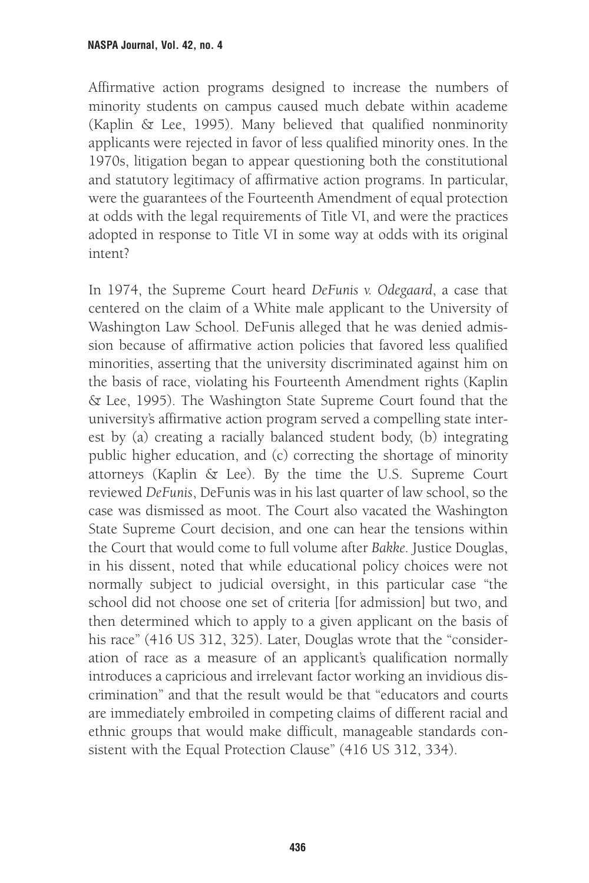Affirmative action programs designed to increase the numbers of minority students on campus caused much debate within academe (Kaplin & Lee, 1995). Many believed that qualified nonminority applicants were rejected in favor of less qualified minority ones. In the 1970s, litigation began to appear questioning both the constitutional and statutory legitimacy of affirmative action programs. In particular, were the guarantees of the Fourteenth Amendment of equal protection at odds with the legal requirements of Title VI, and were the practices adopted in response to Title VI in some way at odds with its original intent?

In 1974, the Supreme Court heard *DeFunis v. Odegaard*, a case that centered on the claim of a White male applicant to the University of Washington Law School. DeFunis alleged that he was denied admission because of affirmative action policies that favored less qualified minorities, asserting that the university discriminated against him on the basis of race, violating his Fourteenth Amendment rights (Kaplin & Lee, 1995). The Washington State Supreme Court found that the university's affirmative action program served a compelling state interest by (a) creating a racially balanced student body, (b) integrating public higher education, and (c) correcting the shortage of minority attorneys (Kaplin & Lee). By the time the U.S. Supreme Court reviewed *DeFunis*, DeFunis was in his last quarter of law school, so the case was dismissed as moot. The Court also vacated the Washington State Supreme Court decision, and one can hear the tensions within the Court that would come to full volume after *Bakke.* Justice Douglas, in his dissent, noted that while educational policy choices were not normally subject to judicial oversight, in this particular case "the school did not choose one set of criteria [for admission] but two, and then determined which to apply to a given applicant on the basis of his race" (416 US 312, 325). Later, Douglas wrote that the "consideration of race as a measure of an applicant's qualification normally introduces a capricious and irrelevant factor working an invidious discrimination" and that the result would be that "educators and courts are immediately embroiled in competing claims of different racial and ethnic groups that would make difficult, manageable standards consistent with the Equal Protection Clause" (416 US 312, 334).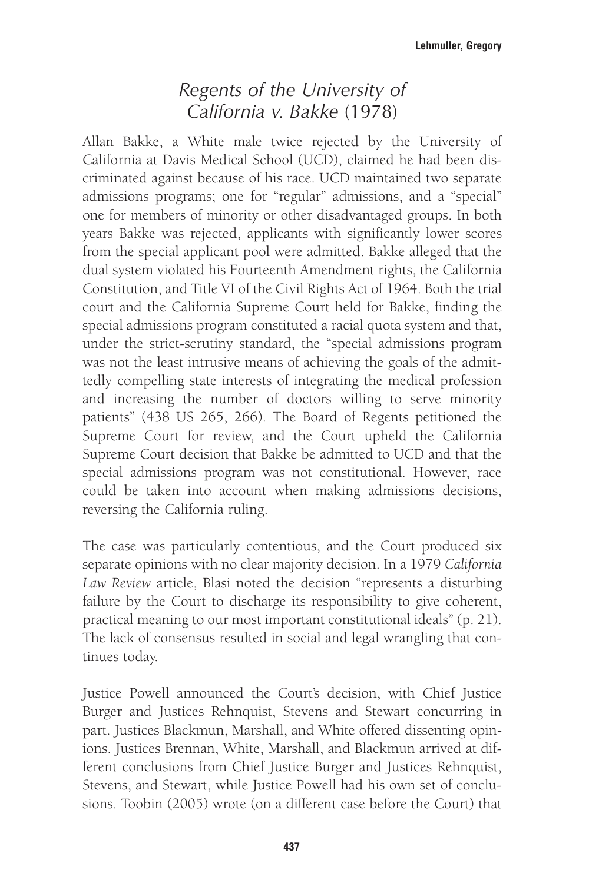#### *Regents of the University of California v. Bakke* (1978)

Allan Bakke, a White male twice rejected by the University of California at Davis Medical School (UCD), claimed he had been discriminated against because of his race. UCD maintained two separate admissions programs; one for "regular" admissions, and a "special" one for members of minority or other disadvantaged groups. In both years Bakke was rejected, applicants with significantly lower scores from the special applicant pool were admitted. Bakke alleged that the dual system violated his Fourteenth Amendment rights, the California Constitution, and Title VI of the Civil Rights Act of 1964. Both the trial court and the California Supreme Court held for Bakke, finding the special admissions program constituted a racial quota system and that, under the strict-scrutiny standard, the "special admissions program was not the least intrusive means of achieving the goals of the admittedly compelling state interests of integrating the medical profession and increasing the number of doctors willing to serve minority patients" (438 US 265, 266). The Board of Regents petitioned the Supreme Court for review, and the Court upheld the California Supreme Court decision that Bakke be admitted to UCD and that the special admissions program was not constitutional. However, race could be taken into account when making admissions decisions, reversing the California ruling.

The case was particularly contentious, and the Court produced six separate opinions with no clear majority decision. In a 1979 *California Law Review* article, Blasi noted the decision "represents a disturbing failure by the Court to discharge its responsibility to give coherent, practical meaning to our most important constitutional ideals" (p. 21). The lack of consensus resulted in social and legal wrangling that continues today.

Justice Powell announced the Court's decision, with Chief Justice Burger and Justices Rehnquist, Stevens and Stewart concurring in part. Justices Blackmun, Marshall, and White offered dissenting opinions. Justices Brennan, White, Marshall, and Blackmun arrived at different conclusions from Chief Justice Burger and Justices Rehnquist, Stevens, and Stewart, while Justice Powell had his own set of conclusions. Toobin (2005) wrote (on a different case before the Court) that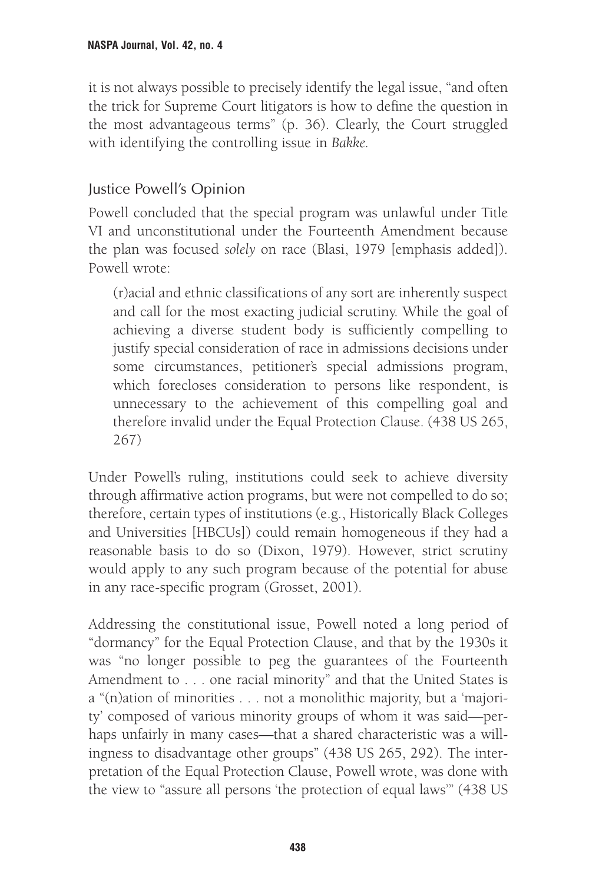it is not always possible to precisely identify the legal issue, "and often the trick for Supreme Court litigators is how to define the question in the most advantageous terms" (p. 36). Clearly, the Court struggled with identifying the controlling issue in *Bakke.*

#### Justice Powell's Opinion

Powell concluded that the special program was unlawful under Title VI and unconstitutional under the Fourteenth Amendment because the plan was focused *solely* on race (Blasi, 1979 [emphasis added]). Powell wrote:

(r)acial and ethnic classifications of any sort are inherently suspect and call for the most exacting judicial scrutiny. While the goal of achieving a diverse student body is sufficiently compelling to justify special consideration of race in admissions decisions under some circumstances, petitioner's special admissions program, which forecloses consideration to persons like respondent, is unnecessary to the achievement of this compelling goal and therefore invalid under the Equal Protection Clause. (438 US 265, 267)

Under Powell's ruling, institutions could seek to achieve diversity through affirmative action programs, but were not compelled to do so; therefore, certain types of institutions (e.g., Historically Black Colleges and Universities [HBCUs]) could remain homogeneous if they had a reasonable basis to do so (Dixon, 1979). However, strict scrutiny would apply to any such program because of the potential for abuse in any race-specific program (Grosset, 2001).

Addressing the constitutional issue, Powell noted a long period of "dormancy" for the Equal Protection Clause, and that by the 1930s it was "no longer possible to peg the guarantees of the Fourteenth Amendment to . . . one racial minority" and that the United States is a "(n)ation of minorities . . . not a monolithic majority, but a 'majority' composed of various minority groups of whom it was said—perhaps unfairly in many cases—that a shared characteristic was a willingness to disadvantage other groups" (438 US 265, 292). The interpretation of the Equal Protection Clause, Powell wrote, was done with the view to "assure all persons 'the protection of equal laws'" (438 US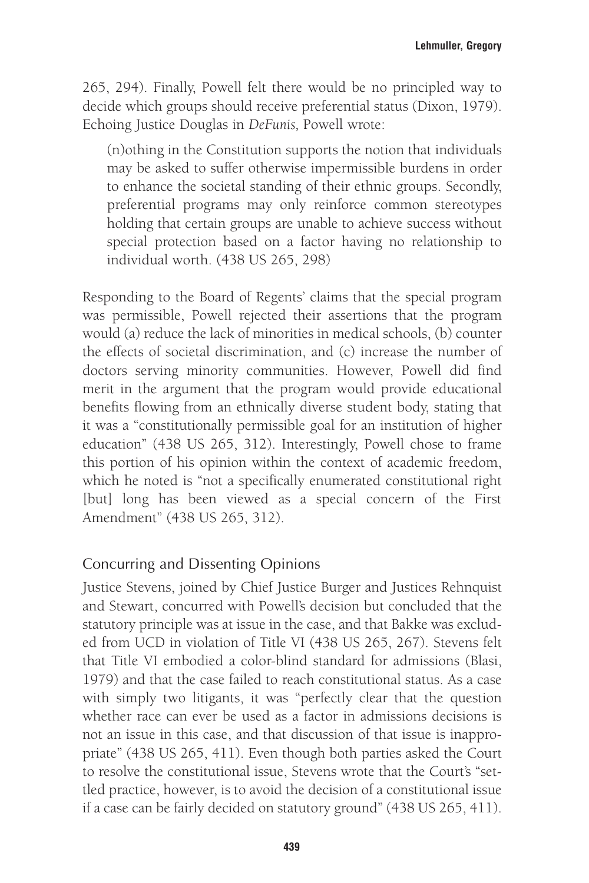265, 294). Finally, Powell felt there would be no principled way to decide which groups should receive preferential status (Dixon, 1979). Echoing Justice Douglas in *DeFunis,* Powell wrote:

(n)othing in the Constitution supports the notion that individuals may be asked to suffer otherwise impermissible burdens in order to enhance the societal standing of their ethnic groups. Secondly, preferential programs may only reinforce common stereotypes holding that certain groups are unable to achieve success without special protection based on a factor having no relationship to individual worth. (438 US 265, 298)

Responding to the Board of Regents' claims that the special program was permissible, Powell rejected their assertions that the program would (a) reduce the lack of minorities in medical schools, (b) counter the effects of societal discrimination, and (c) increase the number of doctors serving minority communities. However, Powell did find merit in the argument that the program would provide educational benefits flowing from an ethnically diverse student body, stating that it was a "constitutionally permissible goal for an institution of higher education" (438 US 265, 312). Interestingly, Powell chose to frame this portion of his opinion within the context of academic freedom, which he noted is "not a specifically enumerated constitutional right [but] long has been viewed as a special concern of the First Amendment" (438 US 265, 312).

#### Concurring and Dissenting Opinions

Justice Stevens, joined by Chief Justice Burger and Justices Rehnquist and Stewart, concurred with Powell's decision but concluded that the statutory principle was at issue in the case, and that Bakke was excluded from UCD in violation of Title VI (438 US 265, 267). Stevens felt that Title VI embodied a color-blind standard for admissions (Blasi, 1979) and that the case failed to reach constitutional status. As a case with simply two litigants, it was "perfectly clear that the question whether race can ever be used as a factor in admissions decisions is not an issue in this case, and that discussion of that issue is inappropriate" (438 US 265, 411). Even though both parties asked the Court to resolve the constitutional issue, Stevens wrote that the Court's "settled practice, however, is to avoid the decision of a constitutional issue if a case can be fairly decided on statutory ground" (438 US 265, 411).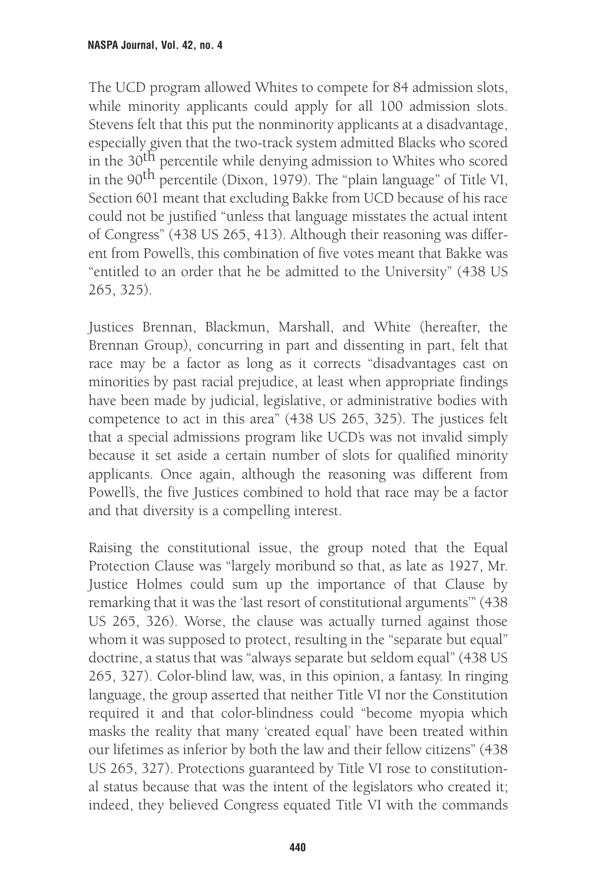The UCD program allowed Whites to compete for 84 admission slots, while minority applicants could apply for all 100 admission slots. Stevens felt that this put the nonminority applicants at a disadvantage, especially given that the two-track system admitted Blacks who scored in the 30th percentile while denying admission to Whites who scored in the 90th percentile (Dixon, 1979). The "plain language" of Title VI, Section 601 meant that excluding Bakke from UCD because of his race could not be justified "unless that language misstates the actual intent of Congress" (438 US 265, 413). Although their reasoning was different from Powell's, this combination of five votes meant that Bakke was "entitled to an order that he be admitted to the University" (438 US 265, 325).

Justices Brennan, Blackmun, Marshall, and White (hereafter, the Brennan Group), concurring in part and dissenting in part, felt that race may be a factor as long as it corrects "disadvantages cast on minorities by past racial prejudice, at least when appropriate findings have been made by judicial, legislative, or administrative bodies with competence to act in this area" (438 US 265, 325). The justices felt that a special admissions program like UCD's was not invalid simply because it set aside a certain number of slots for qualified minority applicants. Once again, although the reasoning was different from Powell's, the five Justices combined to hold that race may be a factor and that diversity is a compelling interest.

Raising the constitutional issue, the group noted that the Equal Protection Clause was "largely moribund so that, as late as 1927, Mr. Justice Holmes could sum up the importance of that Clause by remarking that it was the 'last resort of constitutional arguments'" (438 US 265, 326). Worse, the clause was actually turned against those whom it was supposed to protect, resulting in the "separate but equal" doctrine, a status that was "always separate but seldom equal" (438 US 265, 327). Color-blind law, was, in this opinion, a fantasy. In ringing language, the group asserted that neither Title VI nor the Constitution required it and that color-blindness could "become myopia which masks the reality that many 'created equal' have been treated within our lifetimes as inferior by both the law and their fellow citizens" (438 US 265, 327). Protections guaranteed by Title VI rose to constitutional status because that was the intent of the legislators who created it; indeed, they believed Congress equated Title VI with the commands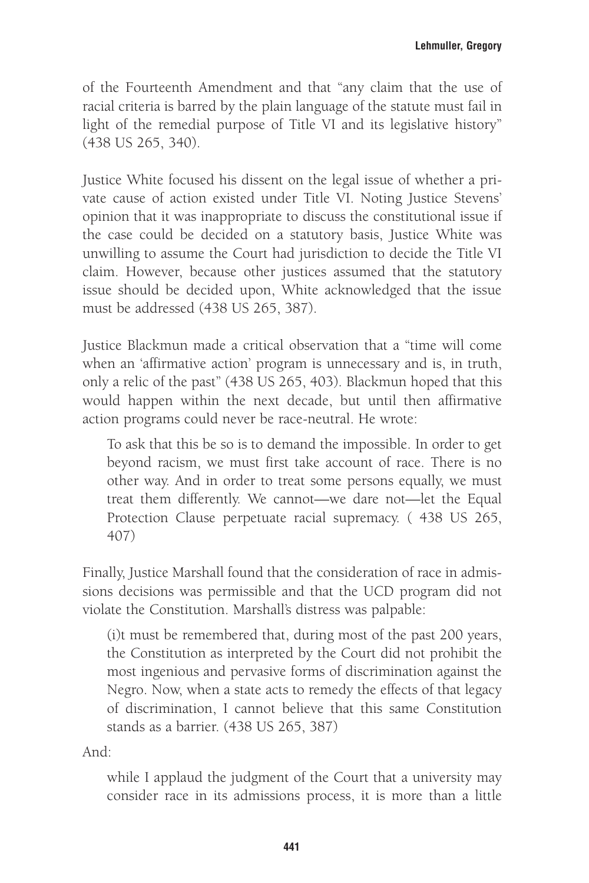of the Fourteenth Amendment and that "any claim that the use of racial criteria is barred by the plain language of the statute must fail in light of the remedial purpose of Title VI and its legislative history" (438 US 265, 340).

Justice White focused his dissent on the legal issue of whether a private cause of action existed under Title VI. Noting Justice Stevens' opinion that it was inappropriate to discuss the constitutional issue if the case could be decided on a statutory basis, Justice White was unwilling to assume the Court had jurisdiction to decide the Title VI claim. However, because other justices assumed that the statutory issue should be decided upon, White acknowledged that the issue must be addressed (438 US 265, 387).

Justice Blackmun made a critical observation that a "time will come when an 'affirmative action' program is unnecessary and is, in truth, only a relic of the past" (438 US 265, 403). Blackmun hoped that this would happen within the next decade, but until then affirmative action programs could never be race-neutral. He wrote:

To ask that this be so is to demand the impossible. In order to get beyond racism, we must first take account of race. There is no other way. And in order to treat some persons equally, we must treat them differently. We cannot—we dare not—let the Equal Protection Clause perpetuate racial supremacy. ( 438 US 265, 407)

Finally, Justice Marshall found that the consideration of race in admissions decisions was permissible and that the UCD program did not violate the Constitution. Marshall's distress was palpable:

(i)t must be remembered that, during most of the past 200 years, the Constitution as interpreted by the Court did not prohibit the most ingenious and pervasive forms of discrimination against the Negro. Now, when a state acts to remedy the effects of that legacy of discrimination, I cannot believe that this same Constitution stands as a barrier. (438 US 265, 387)

And:

while I applaud the judgment of the Court that a university may consider race in its admissions process, it is more than a little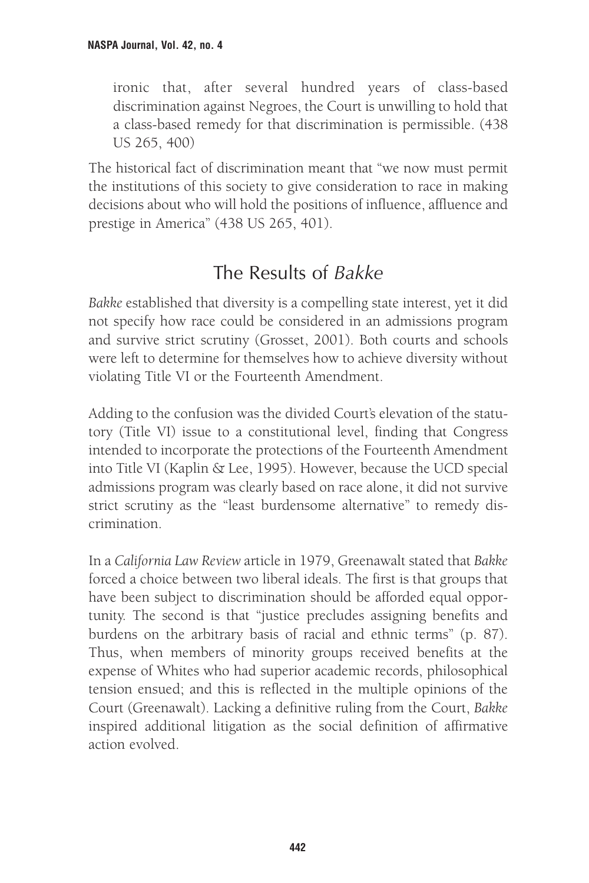ironic that, after several hundred years of class-based discrimination against Negroes, the Court is unwilling to hold that a class-based remedy for that discrimination is permissible. (438 US 265, 400)

The historical fact of discrimination meant that "we now must permit the institutions of this society to give consideration to race in making decisions about who will hold the positions of influence, affluence and prestige in America" (438 US 265, 401).

## The Results of *Bakke*

*Bakke* established that diversity is a compelling state interest, yet it did not specify how race could be considered in an admissions program and survive strict scrutiny (Grosset, 2001). Both courts and schools were left to determine for themselves how to achieve diversity without violating Title VI or the Fourteenth Amendment.

Adding to the confusion was the divided Court's elevation of the statutory (Title VI) issue to a constitutional level, finding that Congress intended to incorporate the protections of the Fourteenth Amendment into Title VI (Kaplin & Lee, 1995). However, because the UCD special admissions program was clearly based on race alone, it did not survive strict scrutiny as the "least burdensome alternative" to remedy discrimination.

In a *California Law Review* article in 1979, Greenawalt stated that *Bakke* forced a choice between two liberal ideals. The first is that groups that have been subject to discrimination should be afforded equal opportunity. The second is that "justice precludes assigning benefits and burdens on the arbitrary basis of racial and ethnic terms" (p. 87). Thus, when members of minority groups received benefits at the expense of Whites who had superior academic records, philosophical tension ensued; and this is reflected in the multiple opinions of the Court (Greenawalt). Lacking a definitive ruling from the Court, *Bakke* inspired additional litigation as the social definition of affirmative action evolved.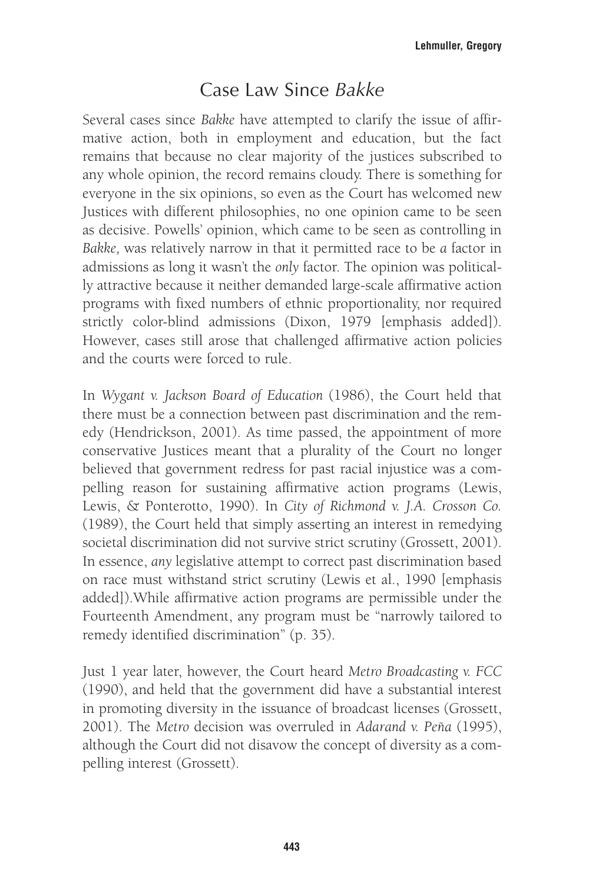### Case Law Since *Bakke*

Several cases since *Bakke* have attempted to clarify the issue of affirmative action, both in employment and education, but the fact remains that because no clear majority of the justices subscribed to any whole opinion, the record remains cloudy. There is something for everyone in the six opinions, so even as the Court has welcomed new Justices with different philosophies, no one opinion came to be seen as decisive. Powells' opinion, which came to be seen as controlling in *Bakke,* was relatively narrow in that it permitted race to be *a* factor in admissions as long it wasn't the *only* factor. The opinion was politically attractive because it neither demanded large-scale affirmative action programs with fixed numbers of ethnic proportionality, nor required strictly color-blind admissions (Dixon, 1979 [emphasis added]). However, cases still arose that challenged affirmative action policies and the courts were forced to rule.

In *Wygant v. Jackson Board of Education* (1986), the Court held that there must be a connection between past discrimination and the remedy (Hendrickson, 2001). As time passed, the appointment of more conservative Justices meant that a plurality of the Court no longer believed that government redress for past racial injustice was a compelling reason for sustaining affirmative action programs (Lewis, Lewis, & Ponterotto, 1990). In *City of Richmond v. J.A. Crosson Co.* (1989), the Court held that simply asserting an interest in remedying societal discrimination did not survive strict scrutiny (Grossett, 2001). In essence, *any* legislative attempt to correct past discrimination based on race must withstand strict scrutiny (Lewis et al., 1990 [emphasis added]).While affirmative action programs are permissible under the Fourteenth Amendment, any program must be "narrowly tailored to remedy identified discrimination" (p. 35).

Just 1 year later, however, the Court heard *Metro Broadcasting v. FCC* (1990), and held that the government did have a substantial interest in promoting diversity in the issuance of broadcast licenses (Grossett, 2001). The *Metro* decision was overruled in *Adarand v. Peña* (1995), although the Court did not disavow the concept of diversity as a compelling interest (Grossett).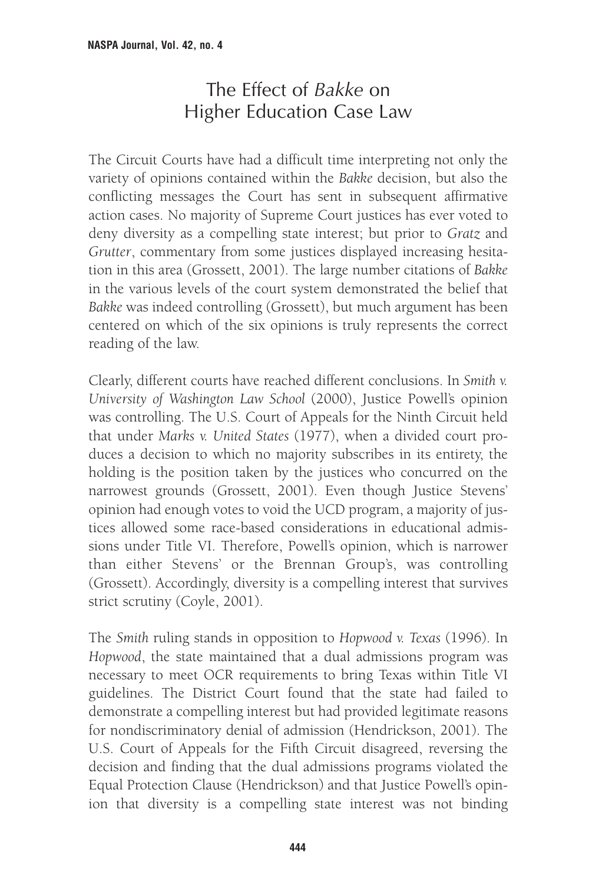#### The Effect of *Bakke* on Higher Education Case Law

The Circuit Courts have had a difficult time interpreting not only the variety of opinions contained within the *Bakke* decision, but also the conflicting messages the Court has sent in subsequent affirmative action cases. No majority of Supreme Court justices has ever voted to deny diversity as a compelling state interest; but prior to *Gratz* and *Grutter*, commentary from some justices displayed increasing hesitation in this area (Grossett, 2001). The large number citations of *Bakke* in the various levels of the court system demonstrated the belief that *Bakke* was indeed controlling (Grossett), but much argument has been centered on which of the six opinions is truly represents the correct reading of the law.

Clearly, different courts have reached different conclusions. In *Smith v. University of Washington Law School* (2000), Justice Powell's opinion was controlling. The U.S. Court of Appeals for the Ninth Circuit held that under *Marks v. United States* (1977), when a divided court produces a decision to which no majority subscribes in its entirety, the holding is the position taken by the justices who concurred on the narrowest grounds (Grossett, 2001). Even though Justice Stevens' opinion had enough votes to void the UCD program, a majority of justices allowed some race-based considerations in educational admissions under Title VI. Therefore, Powell's opinion, which is narrower than either Stevens' or the Brennan Group's, was controlling (Grossett). Accordingly, diversity is a compelling interest that survives strict scrutiny (Coyle, 2001).

The *Smith* ruling stands in opposition to *Hopwood v. Texas* (1996). In *Hopwood*, the state maintained that a dual admissions program was necessary to meet OCR requirements to bring Texas within Title VI guidelines. The District Court found that the state had failed to demonstrate a compelling interest but had provided legitimate reasons for nondiscriminatory denial of admission (Hendrickson, 2001). The U.S. Court of Appeals for the Fifth Circuit disagreed, reversing the decision and finding that the dual admissions programs violated the Equal Protection Clause (Hendrickson) and that Justice Powell's opinion that diversity is a compelling state interest was not binding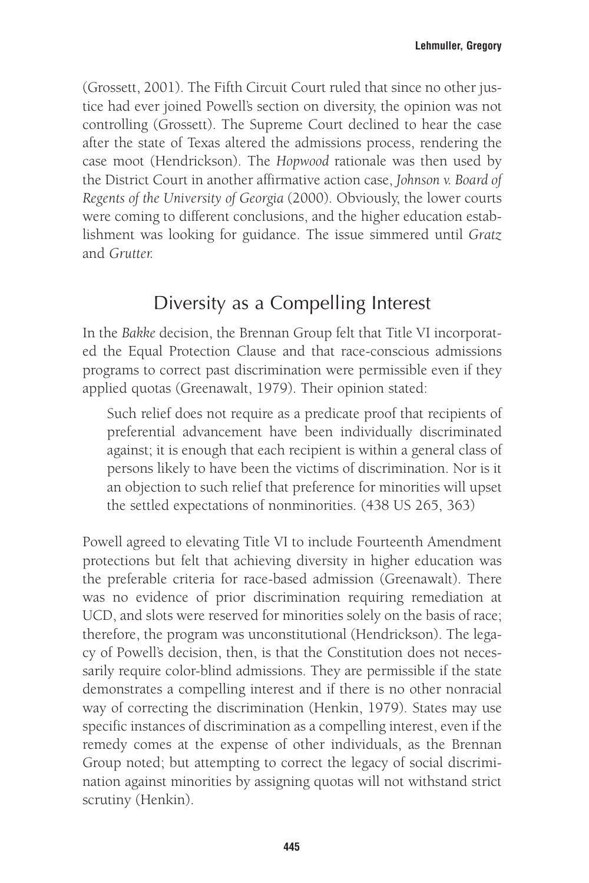(Grossett, 2001). The Fifth Circuit Court ruled that since no other justice had ever joined Powell's section on diversity, the opinion was not controlling (Grossett). The Supreme Court declined to hear the case after the state of Texas altered the admissions process, rendering the case moot (Hendrickson). The *Hopwood* rationale was then used by the District Court in another affirmative action case, *Johnson v. Board of Regents of the University of Georgia* (2000). Obviously, the lower courts were coming to different conclusions, and the higher education establishment was looking for guidance. The issue simmered until *Gratz* and *Grutter.*

#### Diversity as a Compelling Interest

In the *Bakke* decision, the Brennan Group felt that Title VI incorporated the Equal Protection Clause and that race-conscious admissions programs to correct past discrimination were permissible even if they applied quotas (Greenawalt, 1979). Their opinion stated:

Such relief does not require as a predicate proof that recipients of preferential advancement have been individually discriminated against; it is enough that each recipient is within a general class of persons likely to have been the victims of discrimination. Nor is it an objection to such relief that preference for minorities will upset the settled expectations of nonminorities. (438 US 265, 363)

Powell agreed to elevating Title VI to include Fourteenth Amendment protections but felt that achieving diversity in higher education was the preferable criteria for race-based admission (Greenawalt). There was no evidence of prior discrimination requiring remediation at UCD, and slots were reserved for minorities solely on the basis of race; therefore, the program was unconstitutional (Hendrickson). The legacy of Powell's decision, then, is that the Constitution does not necessarily require color-blind admissions. They are permissible if the state demonstrates a compelling interest and if there is no other nonracial way of correcting the discrimination (Henkin, 1979). States may use specific instances of discrimination as a compelling interest, even if the remedy comes at the expense of other individuals, as the Brennan Group noted; but attempting to correct the legacy of social discrimination against minorities by assigning quotas will not withstand strict scrutiny (Henkin).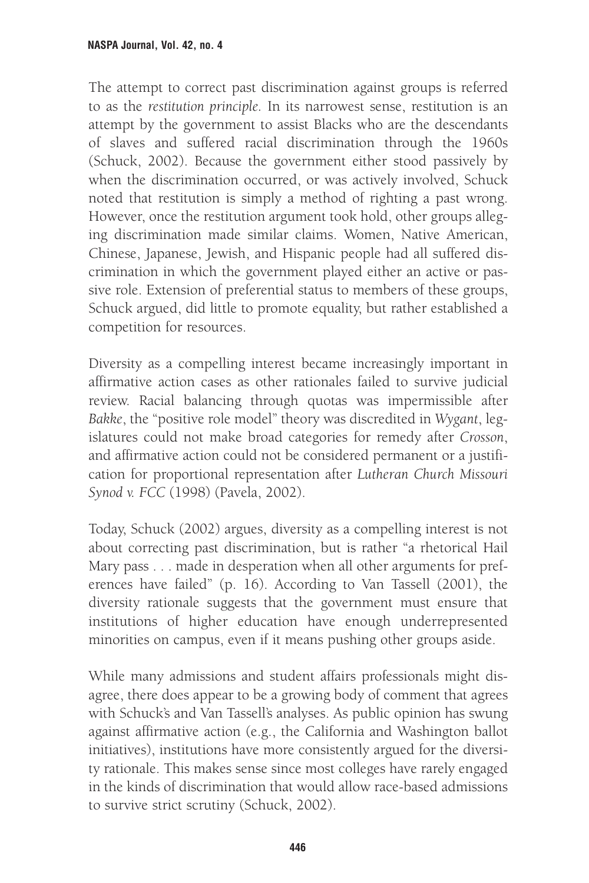The attempt to correct past discrimination against groups is referred to as the *restitution principle.* In its narrowest sense, restitution is an attempt by the government to assist Blacks who are the descendants of slaves and suffered racial discrimination through the 1960s (Schuck, 2002). Because the government either stood passively by when the discrimination occurred, or was actively involved, Schuck noted that restitution is simply a method of righting a past wrong. However, once the restitution argument took hold, other groups alleging discrimination made similar claims. Women, Native American, Chinese, Japanese, Jewish, and Hispanic people had all suffered discrimination in which the government played either an active or passive role. Extension of preferential status to members of these groups, Schuck argued, did little to promote equality, but rather established a competition for resources.

Diversity as a compelling interest became increasingly important in affirmative action cases as other rationales failed to survive judicial review. Racial balancing through quotas was impermissible after *Bakke*, the "positive role model" theory was discredited in *Wygant*, legislatures could not make broad categories for remedy after *Crosson*, and affirmative action could not be considered permanent or a justification for proportional representation after *Lutheran Church Missouri Synod v. FCC* (1998) (Pavela, 2002).

Today, Schuck (2002) argues, diversity as a compelling interest is not about correcting past discrimination, but is rather "a rhetorical Hail Mary pass . . . made in desperation when all other arguments for preferences have failed" (p. 16). According to Van Tassell (2001), the diversity rationale suggests that the government must ensure that institutions of higher education have enough underrepresented minorities on campus, even if it means pushing other groups aside.

While many admissions and student affairs professionals might disagree, there does appear to be a growing body of comment that agrees with Schuck's and Van Tassell's analyses. As public opinion has swung against affirmative action (e.g., the California and Washington ballot initiatives), institutions have more consistently argued for the diversity rationale. This makes sense since most colleges have rarely engaged in the kinds of discrimination that would allow race-based admissions to survive strict scrutiny (Schuck, 2002).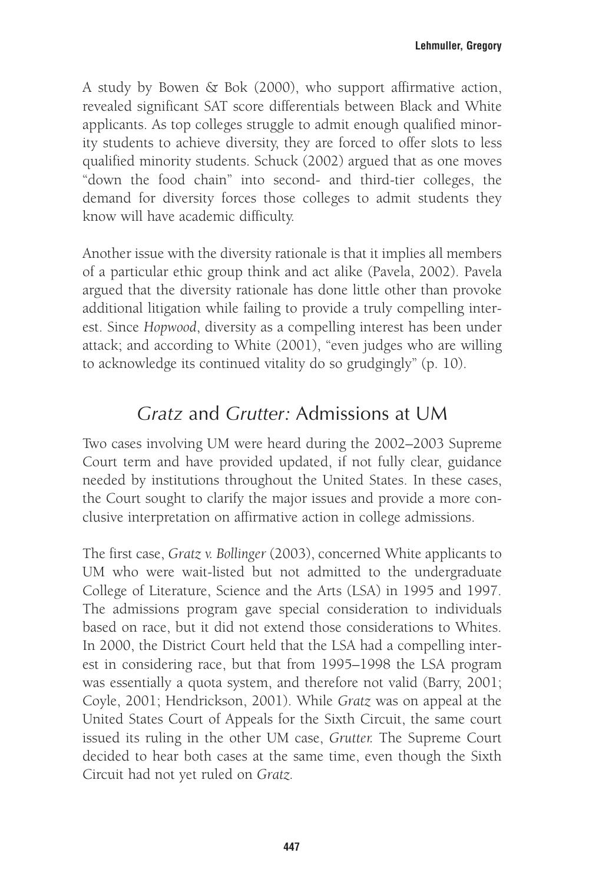A study by Bowen & Bok (2000), who support affirmative action, revealed significant SAT score differentials between Black and White applicants. As top colleges struggle to admit enough qualified minority students to achieve diversity, they are forced to offer slots to less qualified minority students. Schuck (2002) argued that as one moves "down the food chain" into second- and third-tier colleges, the demand for diversity forces those colleges to admit students they know will have academic difficulty.

Another issue with the diversity rationale is that it implies all members of a particular ethic group think and act alike (Pavela, 2002). Pavela argued that the diversity rationale has done little other than provoke additional litigation while failing to provide a truly compelling interest. Since *Hopwood*, diversity as a compelling interest has been under attack; and according to White (2001), "even judges who are willing to acknowledge its continued vitality do so grudgingly" (p. 10).

#### *Gratz* and *Grutter:* Admissions at UM

Two cases involving UM were heard during the 2002–2003 Supreme Court term and have provided updated, if not fully clear, guidance needed by institutions throughout the United States. In these cases, the Court sought to clarify the major issues and provide a more conclusive interpretation on affirmative action in college admissions.

The first case, *Gratz v. Bollinger* (2003), concerned White applicants to UM who were wait-listed but not admitted to the undergraduate College of Literature, Science and the Arts (LSA) in 1995 and 1997. The admissions program gave special consideration to individuals based on race, but it did not extend those considerations to Whites. In 2000, the District Court held that the LSA had a compelling interest in considering race, but that from 1995–1998 the LSA program was essentially a quota system, and therefore not valid (Barry, 2001; Coyle, 2001; Hendrickson, 2001). While *Gratz* was on appeal at the United States Court of Appeals for the Sixth Circuit, the same court issued its ruling in the other UM case, *Grutter.* The Supreme Court decided to hear both cases at the same time, even though the Sixth Circuit had not yet ruled on *Gratz.*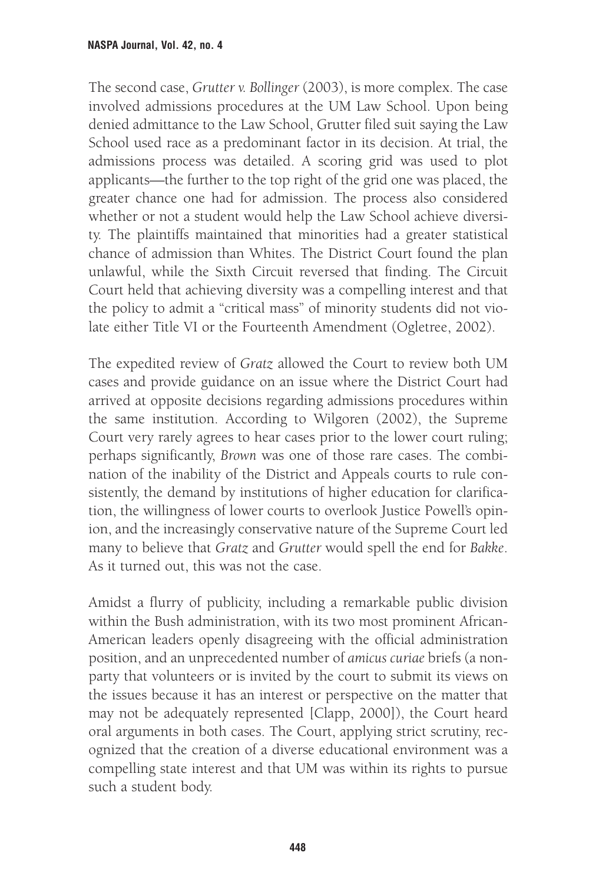The second case, *Grutter v. Bollinger* (2003), is more complex. The case involved admissions procedures at the UM Law School. Upon being denied admittance to the Law School, Grutter filed suit saying the Law School used race as a predominant factor in its decision. At trial, the admissions process was detailed. A scoring grid was used to plot applicants—the further to the top right of the grid one was placed, the greater chance one had for admission. The process also considered whether or not a student would help the Law School achieve diversity. The plaintiffs maintained that minorities had a greater statistical chance of admission than Whites. The District Court found the plan unlawful, while the Sixth Circuit reversed that finding. The Circuit Court held that achieving diversity was a compelling interest and that the policy to admit a "critical mass" of minority students did not violate either Title VI or the Fourteenth Amendment (Ogletree, 2002).

The expedited review of *Gratz* allowed the Court to review both UM cases and provide guidance on an issue where the District Court had arrived at opposite decisions regarding admissions procedures within the same institution. According to Wilgoren (2002), the Supreme Court very rarely agrees to hear cases prior to the lower court ruling; perhaps significantly, *Brown* was one of those rare cases. The combination of the inability of the District and Appeals courts to rule consistently, the demand by institutions of higher education for clarification, the willingness of lower courts to overlook Justice Powell's opinion, and the increasingly conservative nature of the Supreme Court led many to believe that *Gratz* and *Grutter* would spell the end for *Bakke*. As it turned out, this was not the case.

Amidst a flurry of publicity, including a remarkable public division within the Bush administration, with its two most prominent African-American leaders openly disagreeing with the official administration position, and an unprecedented number of *amicus curiae* briefs (a nonparty that volunteers or is invited by the court to submit its views on the issues because it has an interest or perspective on the matter that may not be adequately represented [Clapp, 2000]), the Court heard oral arguments in both cases. The Court, applying strict scrutiny, recognized that the creation of a diverse educational environment was a compelling state interest and that UM was within its rights to pursue such a student body.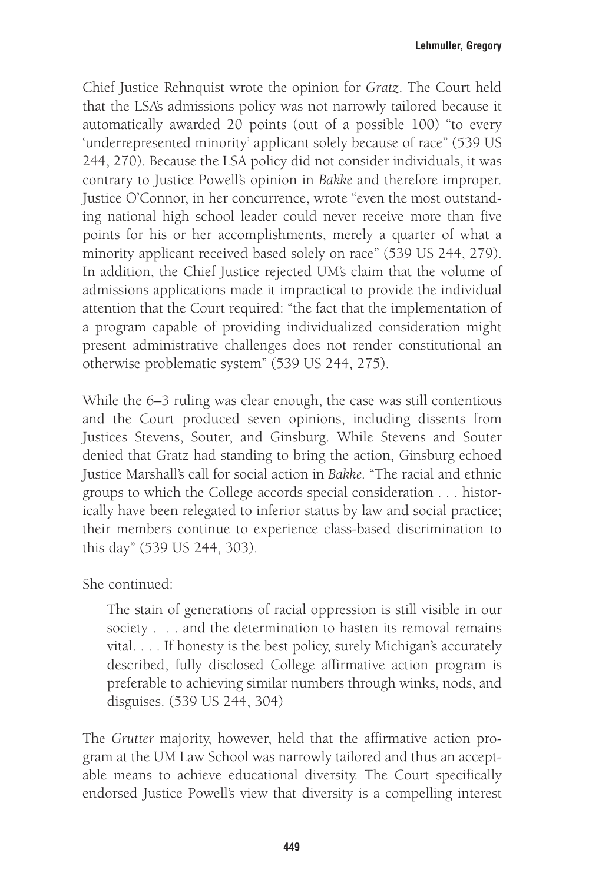Chief Justice Rehnquist wrote the opinion for *Gratz*. The Court held that the LSA's admissions policy was not narrowly tailored because it automatically awarded 20 points (out of a possible 100) "to every 'underrepresented minority' applicant solely because of race" (539 US 244, 270). Because the LSA policy did not consider individuals, it was contrary to Justice Powell's opinion in *Bakke* and therefore improper. Justice O'Connor, in her concurrence, wrote "even the most outstanding national high school leader could never receive more than five points for his or her accomplishments, merely a quarter of what a minority applicant received based solely on race" (539 US 244, 279). In addition, the Chief Justice rejected UM's claim that the volume of admissions applications made it impractical to provide the individual attention that the Court required: "the fact that the implementation of a program capable of providing individualized consideration might present administrative challenges does not render constitutional an otherwise problematic system" (539 US 244, 275).

While the 6–3 ruling was clear enough, the case was still contentious and the Court produced seven opinions, including dissents from Justices Stevens, Souter, and Ginsburg. While Stevens and Souter denied that Gratz had standing to bring the action, Ginsburg echoed Justice Marshall's call for social action in *Bakke.* "The racial and ethnic groups to which the College accords special consideration . . . historically have been relegated to inferior status by law and social practice; their members continue to experience class-based discrimination to this day" (539 US 244, 303).

She continued:

The stain of generations of racial oppression is still visible in our society . . . and the determination to hasten its removal remains vital. . . . If honesty is the best policy, surely Michigan's accurately described, fully disclosed College affirmative action program is preferable to achieving similar numbers through winks, nods, and disguises. (539 US 244, 304)

The *Grutter* majority, however, held that the affirmative action program at the UM Law School was narrowly tailored and thus an acceptable means to achieve educational diversity. The Court specifically endorsed Justice Powell's view that diversity is a compelling interest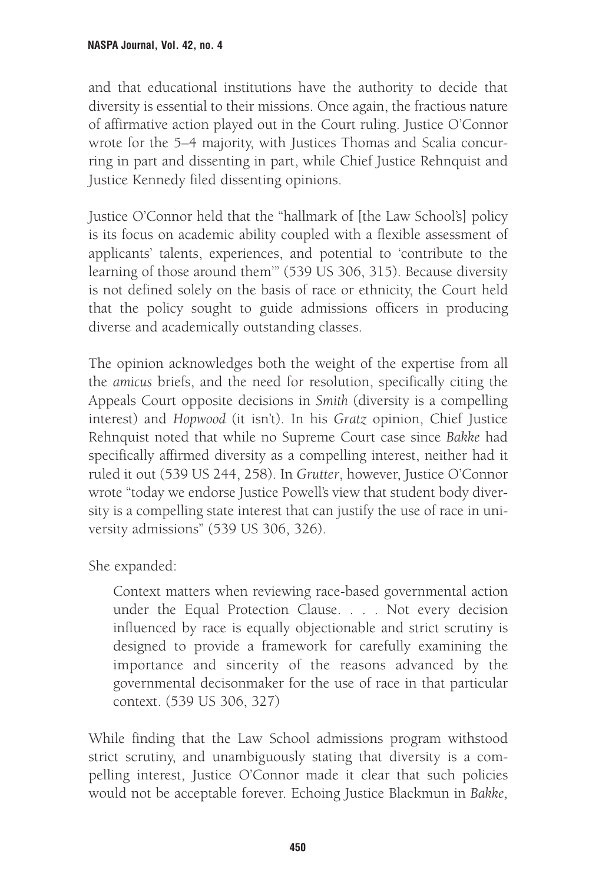and that educational institutions have the authority to decide that diversity is essential to their missions. Once again, the fractious nature of affirmative action played out in the Court ruling. Justice O'Connor wrote for the 5–4 majority, with Justices Thomas and Scalia concurring in part and dissenting in part, while Chief Justice Rehnquist and Justice Kennedy filed dissenting opinions.

Justice O'Connor held that the "hallmark of [the Law School's] policy is its focus on academic ability coupled with a flexible assessment of applicants' talents, experiences, and potential to 'contribute to the learning of those around them'" (539 US 306, 315). Because diversity is not defined solely on the basis of race or ethnicity, the Court held that the policy sought to guide admissions officers in producing diverse and academically outstanding classes.

The opinion acknowledges both the weight of the expertise from all the *amicus* briefs, and the need for resolution, specifically citing the Appeals Court opposite decisions in *Smith* (diversity is a compelling interest) and *Hopwood* (it isn't). In his *Gratz* opinion, Chief Justice Rehnquist noted that while no Supreme Court case since *Bakke* had specifically affirmed diversity as a compelling interest, neither had it ruled it out (539 US 244, 258). In *Grutter*, however, Justice O'Connor wrote "today we endorse Justice Powell's view that student body diversity is a compelling state interest that can justify the use of race in university admissions" (539 US 306, 326).

She expanded:

Context matters when reviewing race-based governmental action under the Equal Protection Clause. . . . Not every decision influenced by race is equally objectionable and strict scrutiny is designed to provide a framework for carefully examining the importance and sincerity of the reasons advanced by the governmental decisonmaker for the use of race in that particular context. (539 US 306, 327)

While finding that the Law School admissions program withstood strict scrutiny, and unambiguously stating that diversity is a compelling interest, Justice O'Connor made it clear that such policies would not be acceptable forever. Echoing Justice Blackmun in *Bakke,*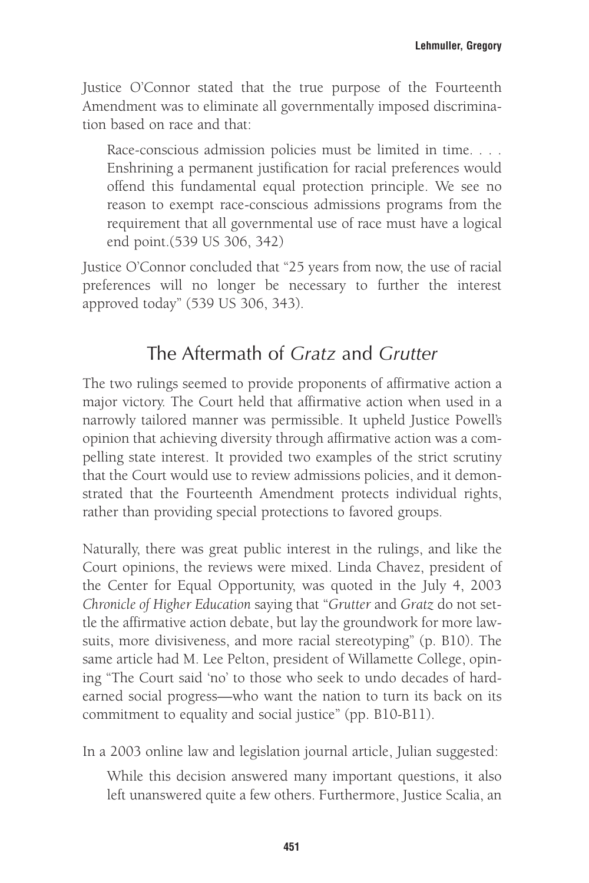Justice O'Connor stated that the true purpose of the Fourteenth Amendment was to eliminate all governmentally imposed discrimination based on race and that:

Race-conscious admission policies must be limited in time. . . . Enshrining a permanent justification for racial preferences would offend this fundamental equal protection principle. We see no reason to exempt race-conscious admissions programs from the requirement that all governmental use of race must have a logical end point.(539 US 306, 342)

Justice O'Connor concluded that "25 years from now, the use of racial preferences will no longer be necessary to further the interest approved today" (539 US 306, 343).

## The Aftermath of *Gratz* and *Grutter*

The two rulings seemed to provide proponents of affirmative action a major victory. The Court held that affirmative action when used in a narrowly tailored manner was permissible. It upheld Justice Powell's opinion that achieving diversity through affirmative action was a compelling state interest. It provided two examples of the strict scrutiny that the Court would use to review admissions policies, and it demonstrated that the Fourteenth Amendment protects individual rights, rather than providing special protections to favored groups.

Naturally, there was great public interest in the rulings, and like the Court opinions, the reviews were mixed. Linda Chavez, president of the Center for Equal Opportunity, was quoted in the July 4, 2003 *Chronicle of Higher Education* saying that "*Grutter* and *Gratz* do not settle the affirmative action debate, but lay the groundwork for more lawsuits, more divisiveness, and more racial stereotyping" (p. B10). The same article had M. Lee Pelton, president of Willamette College, opining "The Court said 'no' to those who seek to undo decades of hardearned social progress—who want the nation to turn its back on its commitment to equality and social justice" (pp. B10-B11).

In a 2003 online law and legislation journal article, Julian suggested:

While this decision answered many important questions, it also left unanswered quite a few others. Furthermore, Justice Scalia, an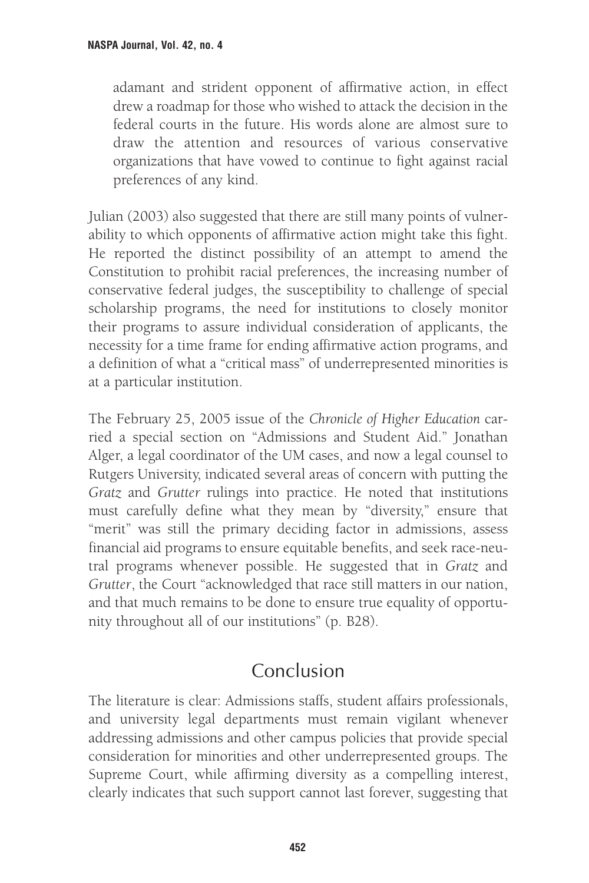adamant and strident opponent of affirmative action, in effect drew a roadmap for those who wished to attack the decision in the federal courts in the future. His words alone are almost sure to draw the attention and resources of various conservative organizations that have vowed to continue to fight against racial preferences of any kind.

Julian (2003) also suggested that there are still many points of vulnerability to which opponents of affirmative action might take this fight. He reported the distinct possibility of an attempt to amend the Constitution to prohibit racial preferences, the increasing number of conservative federal judges, the susceptibility to challenge of special scholarship programs, the need for institutions to closely monitor their programs to assure individual consideration of applicants, the necessity for a time frame for ending affirmative action programs, and a definition of what a "critical mass" of underrepresented minorities is at a particular institution.

The February 25, 2005 issue of the *Chronicle of Higher Education* carried a special section on "Admissions and Student Aid." Jonathan Alger, a legal coordinator of the UM cases, and now a legal counsel to Rutgers University, indicated several areas of concern with putting the *Gratz* and *Grutter* rulings into practice. He noted that institutions must carefully define what they mean by "diversity," ensure that "merit" was still the primary deciding factor in admissions, assess financial aid programs to ensure equitable benefits, and seek race-neutral programs whenever possible. He suggested that in *Gratz* and *Grutter*, the Court "acknowledged that race still matters in our nation, and that much remains to be done to ensure true equality of opportunity throughout all of our institutions" (p. B28).

### Conclusion

The literature is clear: Admissions staffs, student affairs professionals, and university legal departments must remain vigilant whenever addressing admissions and other campus policies that provide special consideration for minorities and other underrepresented groups. The Supreme Court, while affirming diversity as a compelling interest, clearly indicates that such support cannot last forever, suggesting that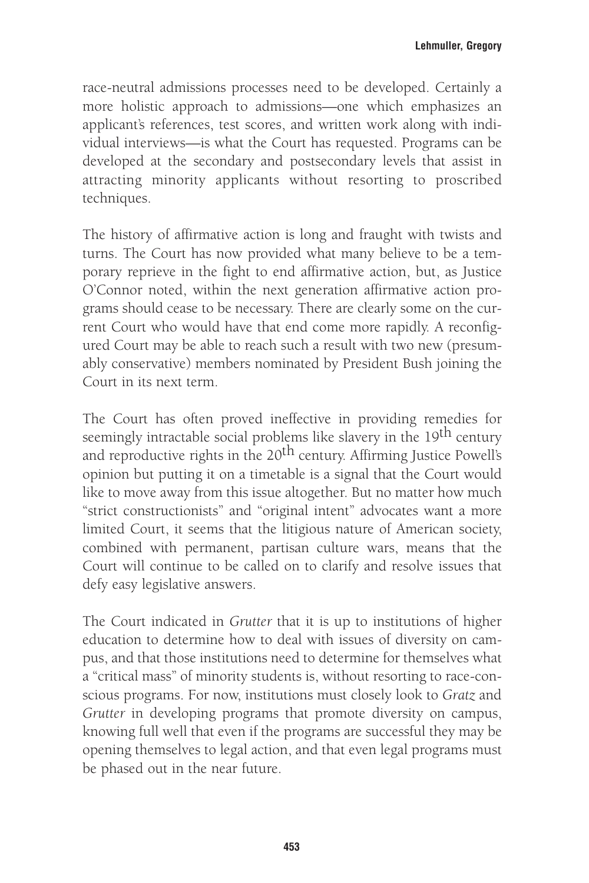race-neutral admissions processes need to be developed. Certainly a more holistic approach to admissions—one which emphasizes an applicant's references, test scores, and written work along with individual interviews—is what the Court has requested. Programs can be developed at the secondary and postsecondary levels that assist in attracting minority applicants without resorting to proscribed techniques.

The history of affirmative action is long and fraught with twists and turns. The Court has now provided what many believe to be a temporary reprieve in the fight to end affirmative action, but, as Justice O'Connor noted, within the next generation affirmative action programs should cease to be necessary. There are clearly some on the current Court who would have that end come more rapidly. A reconfigured Court may be able to reach such a result with two new (presumably conservative) members nominated by President Bush joining the Court in its next term.

The Court has often proved ineffective in providing remedies for seemingly intractable social problems like slavery in the 19<sup>th</sup> century and reproductive rights in the  $20<sup>th</sup>$  century. Affirming Justice Powell's opinion but putting it on a timetable is a signal that the Court would like to move away from this issue altogether. But no matter how much "strict constructionists" and "original intent" advocates want a more limited Court, it seems that the litigious nature of American society, combined with permanent, partisan culture wars, means that the Court will continue to be called on to clarify and resolve issues that defy easy legislative answers.

The Court indicated in *Grutter* that it is up to institutions of higher education to determine how to deal with issues of diversity on campus, and that those institutions need to determine for themselves what a "critical mass" of minority students is, without resorting to race-conscious programs. For now, institutions must closely look to *Gratz* and *Grutter* in developing programs that promote diversity on campus, knowing full well that even if the programs are successful they may be opening themselves to legal action, and that even legal programs must be phased out in the near future.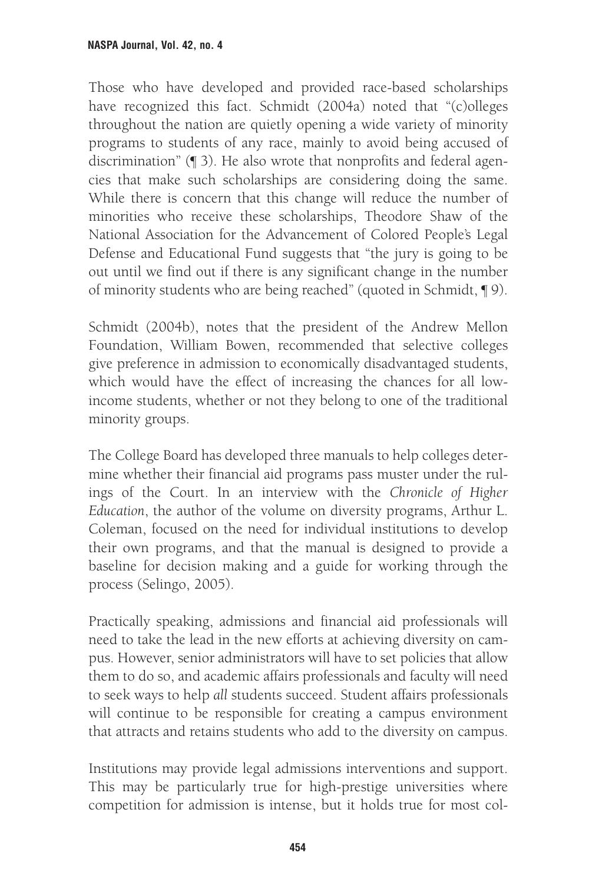Those who have developed and provided race-based scholarships have recognized this fact. Schmidt (2004a) noted that "(c)olleges throughout the nation are quietly opening a wide variety of minority programs to students of any race, mainly to avoid being accused of discrimination" (¶ 3). He also wrote that nonprofits and federal agencies that make such scholarships are considering doing the same. While there is concern that this change will reduce the number of minorities who receive these scholarships, Theodore Shaw of the National Association for the Advancement of Colored People's Legal Defense and Educational Fund suggests that "the jury is going to be out until we find out if there is any significant change in the number of minority students who are being reached" (quoted in Schmidt, ¶ 9).

Schmidt (2004b), notes that the president of the Andrew Mellon Foundation, William Bowen, recommended that selective colleges give preference in admission to economically disadvantaged students, which would have the effect of increasing the chances for all lowincome students, whether or not they belong to one of the traditional minority groups.

The College Board has developed three manuals to help colleges determine whether their financial aid programs pass muster under the rulings of the Court. In an interview with the *Chronicle of Higher Education*, the author of the volume on diversity programs, Arthur L. Coleman, focused on the need for individual institutions to develop their own programs, and that the manual is designed to provide a baseline for decision making and a guide for working through the process (Selingo, 2005).

Practically speaking, admissions and financial aid professionals will need to take the lead in the new efforts at achieving diversity on campus. However, senior administrators will have to set policies that allow them to do so, and academic affairs professionals and faculty will need to seek ways to help *all* students succeed. Student affairs professionals will continue to be responsible for creating a campus environment that attracts and retains students who add to the diversity on campus.

Institutions may provide legal admissions interventions and support. This may be particularly true for high-prestige universities where competition for admission is intense, but it holds true for most col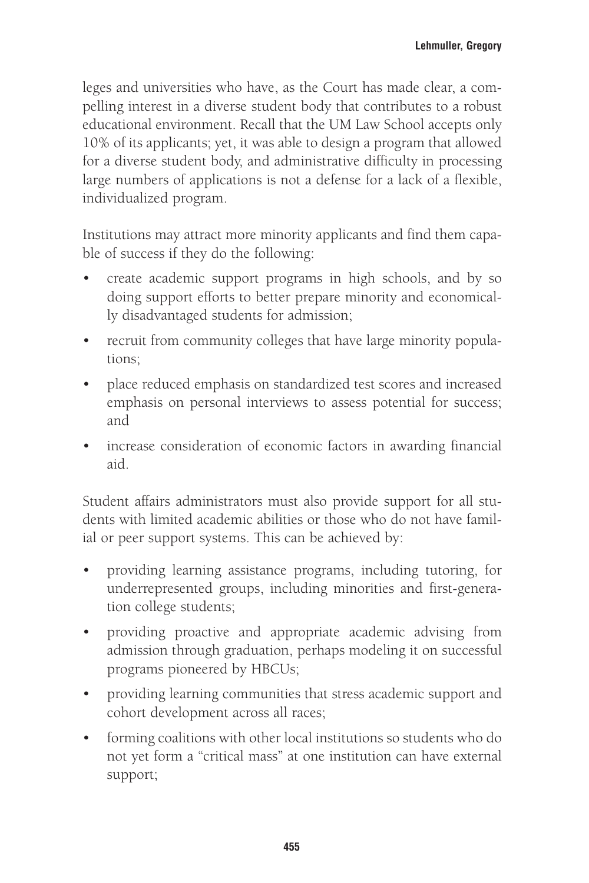leges and universities who have, as the Court has made clear, a compelling interest in a diverse student body that contributes to a robust educational environment. Recall that the UM Law School accepts only 10% of its applicants; yet, it was able to design a program that allowed for a diverse student body, and administrative difficulty in processing large numbers of applications is not a defense for a lack of a flexible, individualized program.

Institutions may attract more minority applicants and find them capable of success if they do the following:

- create academic support programs in high schools, and by so doing support efforts to better prepare minority and economically disadvantaged students for admission;
- recruit from community colleges that have large minority populations;
- place reduced emphasis on standardized test scores and increased emphasis on personal interviews to assess potential for success; and
- increase consideration of economic factors in awarding financial aid.

Student affairs administrators must also provide support for all students with limited academic abilities or those who do not have familial or peer support systems. This can be achieved by:

- providing learning assistance programs, including tutoring, for underrepresented groups, including minorities and first-generation college students;
- providing proactive and appropriate academic advising from admission through graduation, perhaps modeling it on successful programs pioneered by HBCUs;
- providing learning communities that stress academic support and cohort development across all races;
- forming coalitions with other local institutions so students who do not yet form a "critical mass" at one institution can have external support;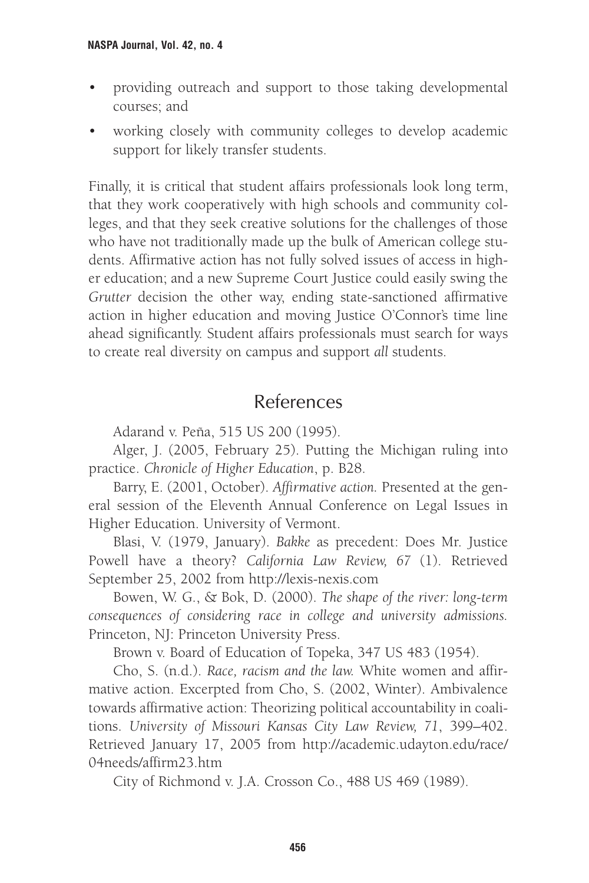- providing outreach and support to those taking developmental courses; and
- working closely with community colleges to develop academic support for likely transfer students.

Finally, it is critical that student affairs professionals look long term, that they work cooperatively with high schools and community colleges, and that they seek creative solutions for the challenges of those who have not traditionally made up the bulk of American college students. Affirmative action has not fully solved issues of access in higher education; and a new Supreme Court Justice could easily swing the *Grutter* decision the other way, ending state-sanctioned affirmative action in higher education and moving Justice O'Connor's time line ahead significantly. Student affairs professionals must search for ways to create real diversity on campus and support *all* students.

#### References

Adarand v. Peña, 515 US 200 (1995).

Alger, J. (2005, February 25). Putting the Michigan ruling into practice. *Chronicle of Higher Education*, p. B28.

Barry, E. (2001, October). *Affirmative action.* Presented at the general session of the Eleventh Annual Conference on Legal Issues in Higher Education. University of Vermont.

Blasi, V. (1979, January). *Bakke* as precedent: Does Mr. Justice Powell have a theory? *California Law Review, 67* (1). Retrieved September 25, 2002 from http://lexis-nexis.com

Bowen, W. G., & Bok, D. (2000). *The shape of the river: long-term consequences of considering race in college and university admissions.* Princeton, NJ: Princeton University Press.

Brown v. Board of Education of Topeka, 347 US 483 (1954).

Cho, S. (n.d.). *Race, racism and the law.* White women and affirmative action. Excerpted from Cho, S. (2002, Winter). Ambivalence towards affirmative action: Theorizing political accountability in coalitions. *University of Missouri Kansas City Law Review, 71*, 399–402. Retrieved January 17, 2005 from http://academic.udayton.edu/race/ 04needs/affirm23.htm

City of Richmond v. J.A. Crosson Co., 488 US 469 (1989).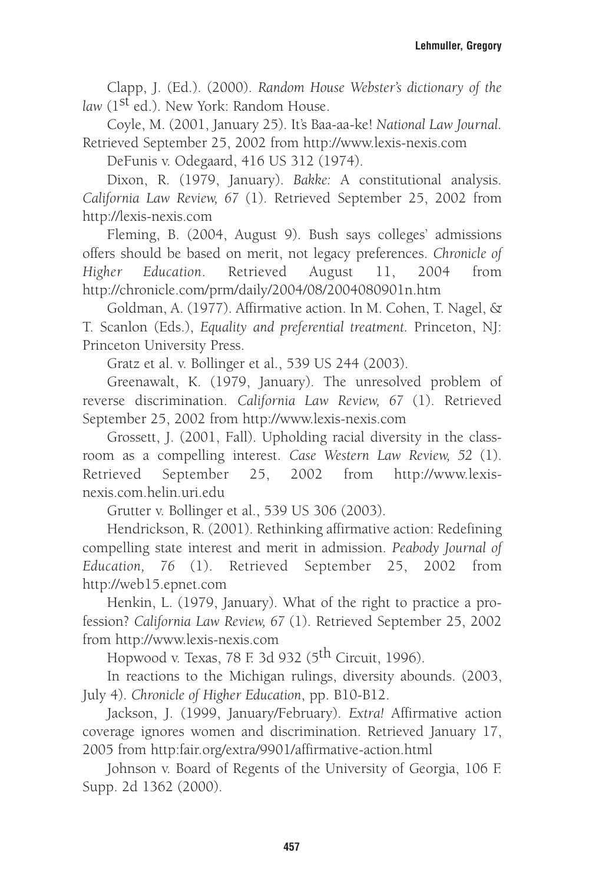Clapp, J. (Ed.). (2000). *Random House Webster's dictionary of the law* (1<sup>st</sup> ed.). New York: Random House.

Coyle, M. (2001, January 25). It's Baa-aa-ke! *National Law Journal.* Retrieved September 25, 2002 from http://www.lexis-nexis.com

DeFunis v. Odegaard, 416 US 312 (1974).

Dixon, R. (1979, January). *Bakke:* A constitutional analysis. *California Law Review, 67* (1). Retrieved September 25, 2002 from http://lexis-nexis.com

Fleming, B. (2004, August 9). Bush says colleges' admissions offers should be based on merit, not legacy preferences. *Chronicle of Higher Education*. Retrieved August 11, 2004 from http://chronicle.com/prm/daily/2004/08/2004080901n.htm

Goldman, A. (1977). Affirmative action. In M. Cohen, T. Nagel, & T. Scanlon (Eds.), *Equality and preferential treatment.* Princeton, NJ: Princeton University Press.

Gratz et al. v. Bollinger et al., 539 US 244 (2003).

Greenawalt, K. (1979, January). The unresolved problem of reverse discrimination. *California Law Review, 67* (1). Retrieved September 25, 2002 from http://www.lexis-nexis.com

Grossett, J. (2001, Fall). Upholding racial diversity in the classroom as a compelling interest. *Case Western Law Review, 52* (1). Retrieved September 25, 2002 from http://www.lexisnexis.com.helin.uri.edu

Grutter v. Bollinger et al., 539 US 306 (2003).

Hendrickson, R. (2001). Rethinking affirmative action: Redefining compelling state interest and merit in admission. *Peabody Journal of Education, 76* (1). Retrieved September 25, 2002 from http://web15.epnet.com

Henkin, L. (1979, January). What of the right to practice a profession? *California Law Review, 67* (1). Retrieved September 25, 2002 from http://www.lexis-nexis.com

Hopwood v. Texas, 78 F. 3d 932 (5th Circuit, 1996).

In reactions to the Michigan rulings, diversity abounds. (2003, July 4). *Chronicle of Higher Education*, pp. B10-B12.

Jackson, J. (1999, January/February). *Extra!* Affirmative action coverage ignores women and discrimination. Retrieved January 17, 2005 from http:fair.org/extra/9901/affirmative-action.html

Johnson v. Board of Regents of the University of Georgia, 106 F. Supp. 2d 1362 (2000).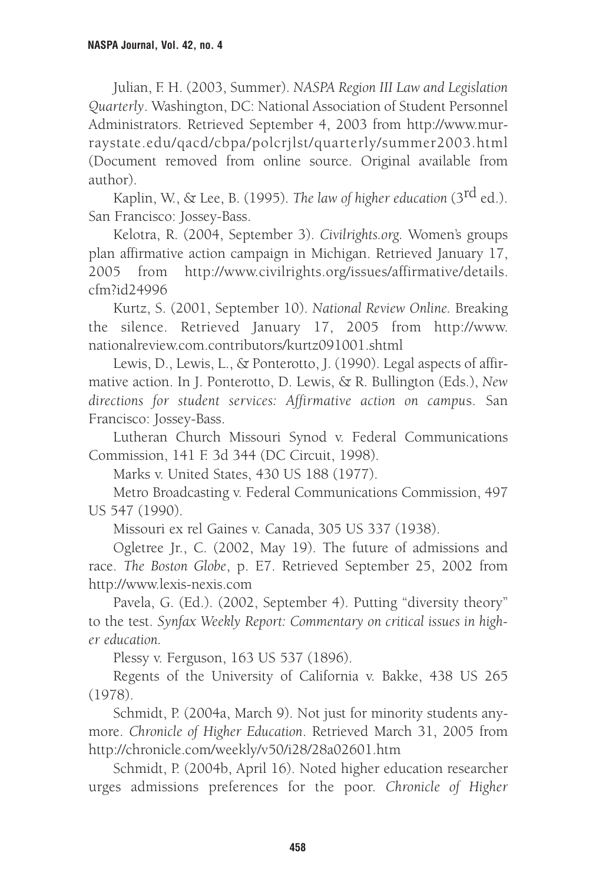Julian, F. H. (2003, Summer). *NASPA Region III Law and Legislation Quarterly*. Washington, DC: National Association of Student Personnel Administrators. Retrieved September 4, 2003 from http://www.murraystate.edu/qacd/cbpa/polcrjlst/quarterly/summer2003.html (Document removed from online source. Original available from author).

Kaplin, W., & Lee, B. (1995). *The law of higher education* (3rd ed.). San Francisco: Jossey-Bass.

Kelotra, R. (2004, September 3). *Civilrights.org.* Women's groups plan affirmative action campaign in Michigan. Retrieved January 17, 2005 from http://www.civilrights.org/issues/affirmative/details. cfm?id24996

Kurtz, S. (2001, September 10). *National Review Online.* Breaking the silence. Retrieved January 17, 2005 from http://www. nationalreview.com.contributors/kurtz091001.shtml

Lewis, D., Lewis, L., & Ponterotto, J. (1990). Legal aspects of affirmative action. In J. Ponterotto, D. Lewis, & R. Bullington (Eds.), *New directions for student services: Affirmative action on campu*s. San Francisco: Jossey-Bass.

Lutheran Church Missouri Synod v. Federal Communications Commission, 141 F. 3d 344 (DC Circuit, 1998).

Marks v. United States, 430 US 188 (1977).

Metro Broadcasting v. Federal Communications Commission, 497 US 547 (1990).

Missouri ex rel Gaines v. Canada, 305 US 337 (1938).

Ogletree Jr., C. (2002, May 19). The future of admissions and race. *The Boston Globe*, p. E7. Retrieved September 25, 2002 from http://www.lexis-nexis.com

Pavela, G. (Ed.). (2002, September 4). Putting "diversity theory" to the test. *Synfax Weekly Report: Commentary on critical issues in higher education.*

Plessy v. Ferguson, 163 US 537 (1896).

Regents of the University of California v. Bakke, 438 US 265 (1978).

Schmidt, P. (2004a, March 9). Not just for minority students anymore. *Chronicle of Higher Education*. Retrieved March 31, 2005 from http://chronicle.com/weekly/v50/i28/28a02601.htm

Schmidt, P. (2004b, April 16). Noted higher education researcher urges admissions preferences for the poor. *Chronicle of Higher*